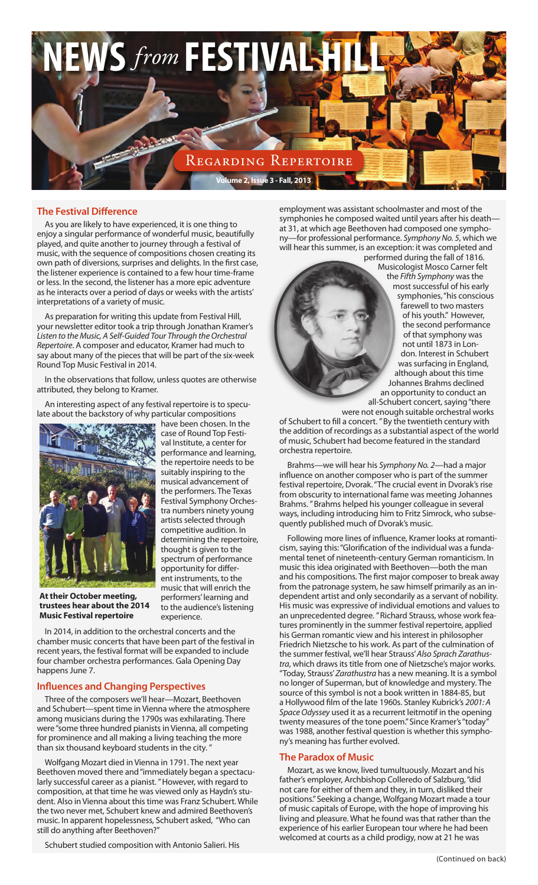

#### **The Festival Difference**

As you are likely to have experienced, it is one thing to enjoy a singular performance of wonderful music, beautifully played, and quite another to journey through a festival of music, with the sequence of compositions chosen creating its own path of diversions, surprises and delights. In the first case, the listener experience is contained to a few hour time-frame or less. In the second, the listener has a more epic adventure as he interacts over a period of days or weeks with the artists' interpretations of a variety of music.

As preparation for writing this update from Festival Hill, your newsletter editor took a trip through Jonathan Kramer's *Listen to the Music, A Self-Guided Tour Through the Orchestral Repertoire*. A composer and educator, Kramer had much to say about many of the pieces that will be part of the six-week Round Top Music Festival in 2014.

In the observations that follow, unless quotes are otherwise attributed, they belong to Kramer.

An interesting aspect of any festival repertoire is to speculate about the backstory of why particular compositions



have been chosen. In the case of Round Top Festival Institute, a center for performance and learning, the repertoire needs to be suitably inspiring to the musical advancement of the performers. The Texas Festival Symphony Orchestra numbers ninety young artists selected through competitive audition. In determining the repertoire, thought is given to the spectrum of performance opportunity for different instruments, to the music that will enrich the performers' learning and to the audience's listening experience.

**At their October meeting, trustees hear about the 2014 Music Festival repertoire**

In 2014, in addition to the orchestral concerts and the chamber music concerts that have been part of the festival in recent years, the festival format will be expanded to include four chamber orchestra performances. Gala Opening Day happens June 7.

#### **Influences and Changing Perspectives**

Three of the composers we'll hear—Mozart, Beethoven and Schubert—spent time in Vienna where the atmosphere among musicians during the 1790s was exhilarating. There were "some three hundred pianists in Vienna, all competing for prominence and all making a living teaching the more than six thousand keyboard students in the city.

Wolfgang Mozart died in Vienna in 1791. The next year Beethoven moved there and "immediately began a spectacularly successful career as a pianist. "However, with regard to composition, at that time he was viewed only as Haydn's student. Also in Vienna about this time was Franz Schubert. While the two never met, Schubert knew and admired Beethoven's music. In apparent hopelessness, Schubert asked, "Who can still do anything after Beethoven?"

Schubert studied composition with Antonio Salieri. His

employment was assistant schoolmaster and most of the symphonies he composed waited until years after his death at 31, at which age Beethoven had composed one symphony—for professional performance. *Symphony No. 5*, which we will hear this summer, is an exception: it was completed and performed during the fall of 1816.

Musicologist Mosco Carner felt the *Fifth Symphony* was the most successful of his early symphonies, "his conscious farewell to two masters of his youth." However, the second performance of that symphony was not until 1873 in London. Interest in Schubert was surfacing in England, although about this time Johannes Brahms declined an opportunity to conduct an all-Schubert concert, saying "there were not enough suitable orchestral works

of Schubert to fill a concert. " By the twentieth century with the addition of recordings as a substantial aspect of the world of music, Schubert had become featured in the standard orchestra repertoire.

Brahms—we will hear his *Symphony No. 2*—had a major influence on another composer who is part of the summer festival repertoire, Dvorak. "The crucial event in Dvorak's rise from obscurity to international fame was meeting Johannes Brahms. " Brahms helped his younger colleague in several ways, including introducing him to Fritz Simrock, who subsequently published much of Dvorak's music.

Following more lines of influence, Kramer looks at romanticism, saying this: "Glorification of the individual was a fundamental tenet of nineteenth-century German romanticism. In music this idea originated with Beethoven—both the man and his compositions. The first major composer to break away from the patronage system, he saw himself primarily as an independent artist and only secondarily as a servant of nobility. His music was expressive of individual emotions and values to an unprecedented degree. " Richard Strauss, whose work features prominently in the summer festival repertoire, applied his German romantic view and his interest in philosopher Friedrich Nietzsche to his work. As part of the culmination of the summer festival, we'll hear Strauss' *Also Sprach Zarathustra*, which draws its title from one of Nietzsche's major works. "Today, Strauss' *Zarathustra* has a new meaning. It is a symbol no longer of Superman, but of knowledge and mystery. The source of this symbol is not a book written in 1884-85, but a Hollywood film of the late 1960s. Stanley Kubrick's *2001: A Space Odyssey* used it as a recurrent leitmotif in the opening twenty measures of the tone poem." Since Kramer's "today" was 1988, another festival question is whether this symphony's meaning has further evolved.

#### **The Paradox of Music**

Mozart, as we know, lived tumultuously. Mozart and his father's employer, Archbishop Colleredo of Salzburg, "did not care for either of them and they, in turn, disliked their positions." Seeking a change, Wolfgang Mozart made a tour of music capitals of Europe, with the hope of improving his living and pleasure. What he found was that rather than the experience of his earlier European tour where he had been welcomed at courts as a child prodigy, now at 21 he was